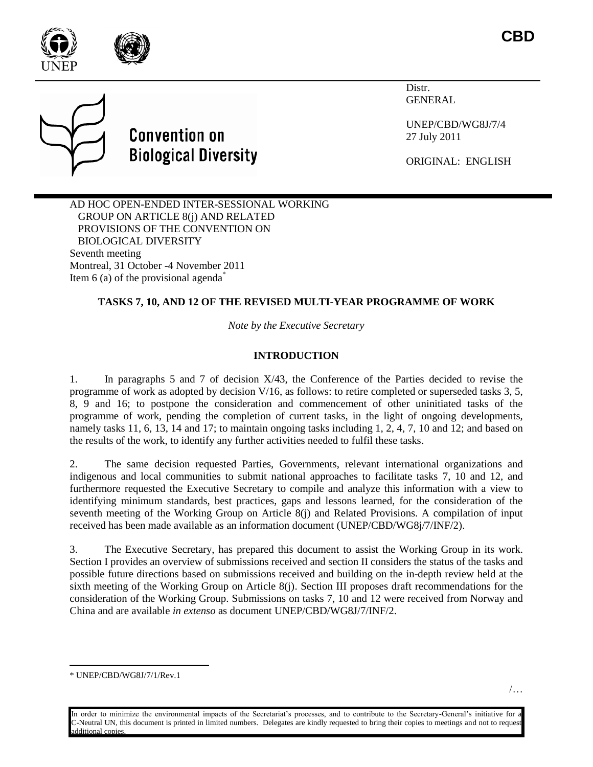

Distr. **GENERAL** 

UNEP/CBD/WG8J/7/4 27 July 2011

ORIGINAL: ENGLISH

AD HOC OPEN-ENDED INTER-SESSIONAL WORKING GROUP ON ARTICLE 8(j) AND RELATED PROVISIONS OF THE CONVENTION ON BIOLOGICAL DIVERSITY Seventh meeting Montreal, 31 October -4 November 2011 Item 6 (a) of the provisional agenda<sup> $*$ </sup>

## **TASKS 7, 10, AND 12 OF THE REVISED MULTI-YEAR PROGRAMME OF WORK**

*Note by the Executive Secretary*

### **INTRODUCTION**

1. In paragraphs 5 and 7 of decision X/43, the Conference of the Parties decided to revise the programme of work as adopted by decision V/16, as follows: to retire completed or superseded tasks 3, 5, 8, 9 and 16; to postpone the consideration and commencement of other uninitiated tasks of the programme of work, pending the completion of current tasks, in the light of ongoing developments, namely tasks 11, 6, 13, 14 and 17; to maintain ongoing tasks including 1, 2, 4, 7, 10 and 12; and based on the results of the work, to identify any further activities needed to fulfil these tasks.

2. The same decision requested Parties, Governments, relevant international organizations and indigenous and local communities to submit national approaches to facilitate tasks 7, 10 and 12, and furthermore requested the Executive Secretary to compile and analyze this information with a view to identifying minimum standards, best practices, gaps and lessons learned, for the consideration of the seventh meeting of the Working Group on Article 8(j) and Related Provisions. A compilation of input received has been made available as an information document (UNEP/CBD/WG8j/7/INF/2).

3. The Executive Secretary, has prepared this document to assist the Working Group in its work. Section I provides an overview of submissions received and section II considers the status of the tasks and possible future directions based on submissions received and building on the in-depth review held at the sixth meeting of the Working Group on Article 8(j). Section III proposes draft recommendations for the consideration of the Working Group. Submissions on tasks 7, 10 and 12 were received from Norway and China and are available *in extenso* as document UNEP/CBD/WG8J/7/INF/2.

l





<sup>\*</sup> UNEP/CBD/WG8J/7/1/Rev.1

In order to minimize the environmental impacts of the Secretariat's processes, and to contribute to the Secretary-General's initiative for a C-Neutral UN, this document is printed in limited numbers. Delegates are kindly requested to bring their copies to meetings and not to request additional copies.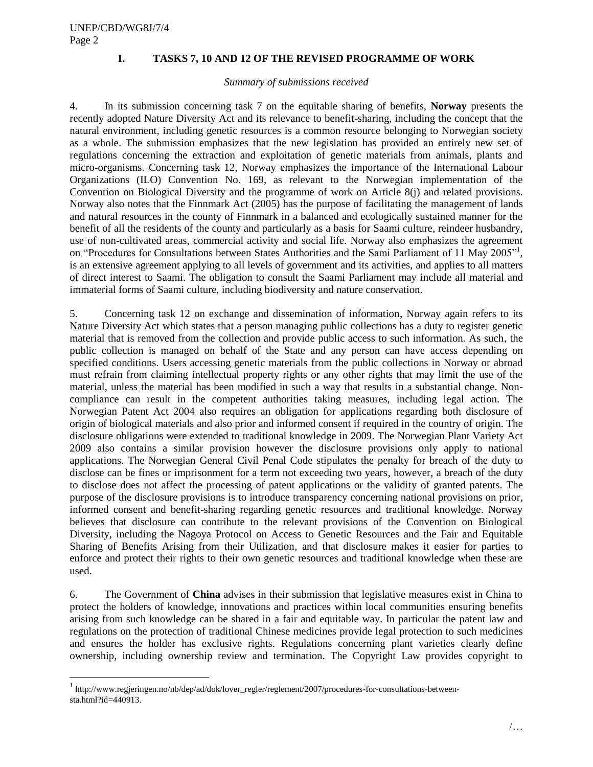$\overline{a}$ 

## **I. TASKS 7, 10 AND 12 OF THE REVISED PROGRAMME OF WORK**

#### *Summary of submissions received*

4. In its submission concerning task 7 on the equitable sharing of benefits, **Norway** presents the recently adopted Nature Diversity Act and its relevance to benefit-sharing, including the concept that the natural environment, including genetic resources is a common resource belonging to Norwegian society as a whole. The submission emphasizes that the new legislation has provided an entirely new set of regulations concerning the extraction and exploitation of genetic materials from animals, plants and micro-organisms. Concerning task 12, Norway emphasizes the importance of the International Labour Organizations (ILO) Convention No. 169, as relevant to the Norwegian implementation of the Convention on Biological Diversity and the programme of work on Article 8(j) and related provisions. Norway also notes that the Finnmark Act (2005) has the purpose of facilitating the management of lands and natural resources in the county of Finnmark in a balanced and ecologically sustained manner for the benefit of all the residents of the county and particularly as a basis for Saami culture, reindeer husbandry, use of non-cultivated areas, commercial activity and social life. Norway also emphasizes the agreement on "Procedures for Consultations between States Authorities and the Sami Parliament of 11 May 2005"<sup>1</sup>, is an extensive agreement applying to all levels of government and its activities, and applies to all matters of direct interest to Saami. The obligation to consult the Saami Parliament may include all material and immaterial forms of Saami culture, including biodiversity and nature conservation.

5. Concerning task 12 on exchange and dissemination of information, Norway again refers to its Nature Diversity Act which states that a person managing public collections has a duty to register genetic material that is removed from the collection and provide public access to such information. As such, the public collection is managed on behalf of the State and any person can have access depending on specified conditions. Users accessing genetic materials from the public collections in Norway or abroad must refrain from claiming intellectual property rights or any other rights that may limit the use of the material, unless the material has been modified in such a way that results in a substantial change. Noncompliance can result in the competent authorities taking measures, including legal action. The Norwegian Patent Act 2004 also requires an obligation for applications regarding both disclosure of origin of biological materials and also prior and informed consent if required in the country of origin. The disclosure obligations were extended to traditional knowledge in 2009. The Norwegian Plant Variety Act 2009 also contains a similar provision however the disclosure provisions only apply to national applications. The Norwegian General Civil Penal Code stipulates the penalty for breach of the duty to disclose can be fines or imprisonment for a term not exceeding two years, however, a breach of the duty to disclose does not affect the processing of patent applications or the validity of granted patents. The purpose of the disclosure provisions is to introduce transparency concerning national provisions on prior, informed consent and benefit-sharing regarding genetic resources and traditional knowledge. Norway believes that disclosure can contribute to the relevant provisions of the Convention on Biological Diversity, including the Nagoya Protocol on Access to Genetic Resources and the Fair and Equitable Sharing of Benefits Arising from their Utilization, and that disclosure makes it easier for parties to enforce and protect their rights to their own genetic resources and traditional knowledge when these are used.

6. The Government of **China** advises in their submission that legislative measures exist in China to protect the holders of knowledge, innovations and practices within local communities ensuring benefits arising from such knowledge can be shared in a fair and equitable way. In particular the patent law and regulations on the protection of traditional Chinese medicines provide legal protection to such medicines and ensures the holder has exclusive rights. Regulations concerning plant varieties clearly define ownership, including ownership review and termination. The Copyright Law provides copyright to

<sup>&</sup>lt;sup>1</sup> http://www.regjeringen.no/nb/dep/ad/dok/lover\_regler/reglement/2007/procedures-for-consultations-betweensta.html? $id=440913$ .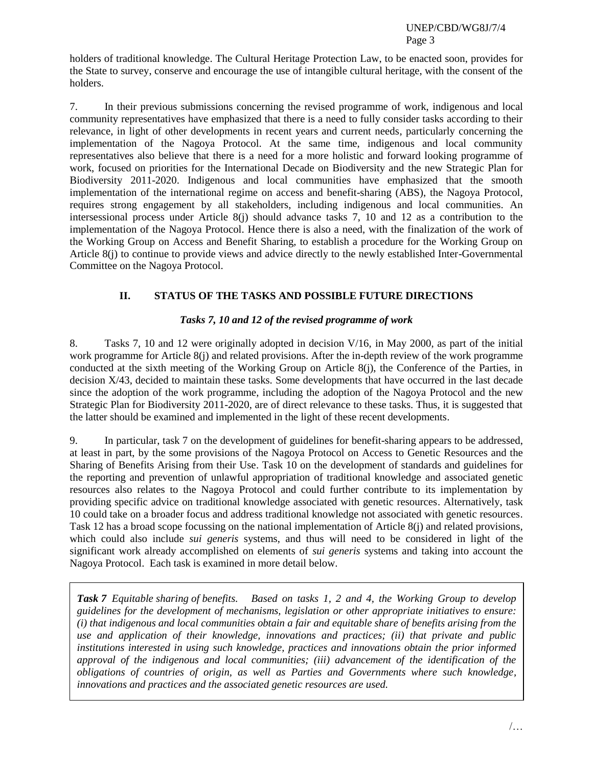holders of traditional knowledge. The Cultural Heritage Protection Law, to be enacted soon, provides for the State to survey, conserve and encourage the use of intangible cultural heritage, with the consent of the holders.

7. In their previous submissions concerning the revised programme of work, indigenous and local community representatives have emphasized that there is a need to fully consider tasks according to their relevance, in light of other developments in recent years and current needs, particularly concerning the implementation of the Nagoya Protocol. At the same time, indigenous and local community representatives also believe that there is a need for a more holistic and forward looking programme of work, focused on priorities for the International Decade on Biodiversity and the new Strategic Plan for Biodiversity 2011-2020. Indigenous and local communities have emphasized that the smooth implementation of the international regime on access and benefit-sharing (ABS), the Nagoya Protocol, requires strong engagement by all stakeholders, including indigenous and local communities. An intersessional process under Article 8(j) should advance tasks 7, 10 and 12 as a contribution to the implementation of the Nagoya Protocol. Hence there is also a need, with the finalization of the work of the Working Group on Access and Benefit Sharing, to establish a procedure for the Working Group on Article 8(j) to continue to provide views and advice directly to the newly established Inter-Governmental Committee on the Nagoya Protocol.

# **II. STATUS OF THE TASKS AND POSSIBLE FUTURE DIRECTIONS**

## *Tasks 7, 10 and 12 of the revised programme of work*

8. Tasks 7, 10 and 12 were originally adopted in decision V/16, in May 2000, as part of the initial work programme for Article 8(j) and related provisions. After the in-depth review of the work programme conducted at the sixth meeting of the Working Group on Article 8(j), the Conference of the Parties, in decision X/43, decided to maintain these tasks. Some developments that have occurred in the last decade since the adoption of the work programme, including the adoption of the Nagoya Protocol and the new Strategic Plan for Biodiversity 2011-2020, are of direct relevance to these tasks. Thus, it is suggested that the latter should be examined and implemented in the light of these recent developments.

9. In particular, task 7 on the development of guidelines for benefit-sharing appears to be addressed, at least in part, by the some provisions of the Nagoya Protocol on Access to Genetic Resources and the Sharing of Benefits Arising from their Use. Task 10 on the development of standards and guidelines for the reporting and prevention of unlawful appropriation of traditional knowledge and associated genetic resources also relates to the Nagoya Protocol and could further contribute to its implementation by providing specific advice on traditional knowledge associated with genetic resources. Alternatively, task 10 could take on a broader focus and address traditional knowledge not associated with genetic resources. Task 12 has a broad scope focussing on the national implementation of Article 8(j) and related provisions, which could also include *sui generis* systems, and thus will need to be considered in light of the significant work already accomplished on elements of *sui generis* systems and taking into account the Nagoya Protocol. Each task is examined in more detail below.

*Task 7 Equitable sharing of benefits. Based on tasks 1, 2 and 4, the Working Group to develop guidelines for the development of mechanisms, legislation or other appropriate initiatives to ensure: (i) that indigenous and local communities obtain a fair and equitable share of benefits arising from the use and application of their knowledge, innovations and practices; (ii) that private and public institutions interested in using such knowledge, practices and innovations obtain the prior informed approval of the indigenous and local communities; (iii) advancement of the identification of the obligations of countries of origin, as well as Parties and Governments where such knowledge, innovations and practices and the associated genetic resources are used.*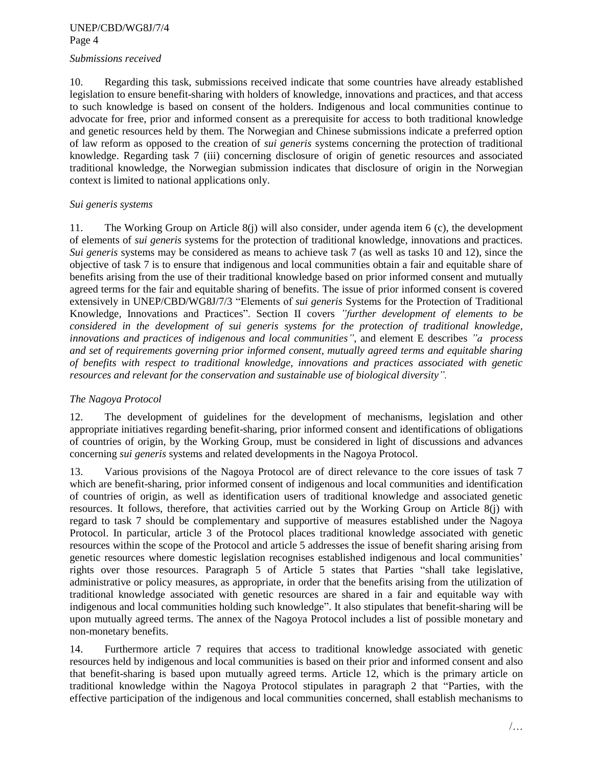#### *Submissions received*

10. Regarding this task, submissions received indicate that some countries have already established legislation to ensure benefit-sharing with holders of knowledge, innovations and practices, and that access to such knowledge is based on consent of the holders. Indigenous and local communities continue to advocate for free, prior and informed consent as a prerequisite for access to both traditional knowledge and genetic resources held by them. The Norwegian and Chinese submissions indicate a preferred option of law reform as opposed to the creation of *sui generis* systems concerning the protection of traditional knowledge. Regarding task 7 (iii) concerning disclosure of origin of genetic resources and associated traditional knowledge, the Norwegian submission indicates that disclosure of origin in the Norwegian context is limited to national applications only.

### *Sui generis systems*

11. The Working Group on Article 8(j) will also consider, under agenda item 6 (c), the development of elements of *sui generis* systems for the protection of traditional knowledge, innovations and practices. *Sui generis* systems may be considered as means to achieve task 7 (as well as tasks 10 and 12), since the objective of task 7 is to ensure that indigenous and local communities obtain a fair and equitable share of benefits arising from the use of their traditional knowledge based on prior informed consent and mutually agreed terms for the fair and equitable sharing of benefits. The issue of prior informed consent is covered extensively in UNEP/CBD/WG8J/7/3 "Elements of *sui generis* Systems for the Protection of Traditional Knowledge, Innovations and Practices". Section II covers *"further development of elements to be considered in the development of sui generis systems for the protection of traditional knowledge, innovations and practices of indigenous and local communities"*, and element E describes *"a process and set of requirements governing prior informed consent, mutually agreed terms and equitable sharing of benefits with respect to traditional knowledge, innovations and practices associated with genetic resources and relevant for the conservation and sustainable use of biological diversity".*

## *The Nagoya Protocol*

12. The development of guidelines for the development of mechanisms, legislation and other appropriate initiatives regarding benefit-sharing, prior informed consent and identifications of obligations of countries of origin, by the Working Group, must be considered in light of discussions and advances concerning *sui generis* systems and related developments in the Nagoya Protocol.

13. Various provisions of the Nagoya Protocol are of direct relevance to the core issues of task 7 which are benefit-sharing, prior informed consent of indigenous and local communities and identification of countries of origin, as well as identification users of traditional knowledge and associated genetic resources. It follows, therefore, that activities carried out by the Working Group on Article 8(j) with regard to task 7 should be complementary and supportive of measures established under the Nagoya Protocol. In particular, article 3 of the Protocol places traditional knowledge associated with genetic resources within the scope of the Protocol and article 5 addresses the issue of benefit sharing arising from genetic resources where domestic legislation recognises established indigenous and local communities' rights over those resources. Paragraph 5 of Article 5 states that Parties "shall take legislative, administrative or policy measures, as appropriate, in order that the benefits arising from the utilization of traditional knowledge associated with genetic resources are shared in a fair and equitable way with indigenous and local communities holding such knowledge". It also stipulates that benefit-sharing will be upon mutually agreed terms. The annex of the Nagoya Protocol includes a list of possible monetary and non-monetary benefits.

14. Furthermore article 7 requires that access to traditional knowledge associated with genetic resources held by indigenous and local communities is based on their prior and informed consent and also that benefit-sharing is based upon mutually agreed terms. Article 12, which is the primary article on traditional knowledge within the Nagoya Protocol stipulates in paragraph 2 that "Parties, with the effective participation of the indigenous and local communities concerned, shall establish mechanisms to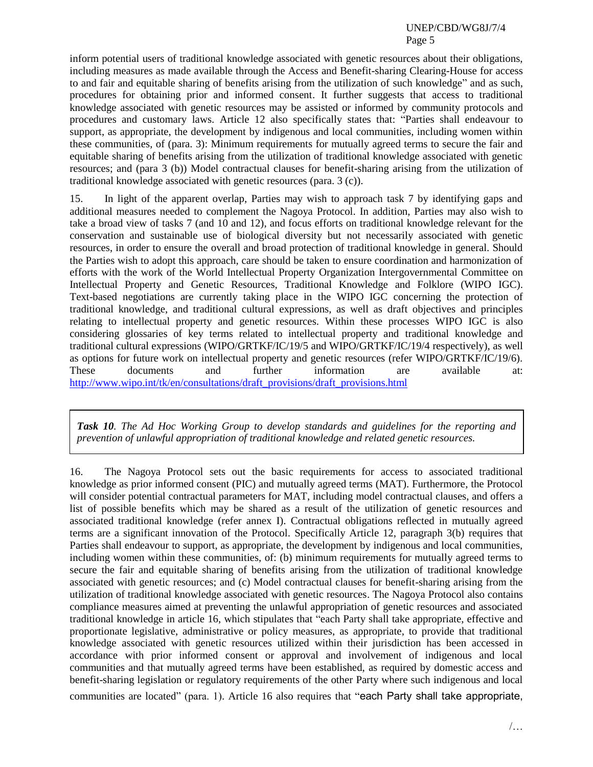inform potential users of traditional knowledge associated with genetic resources about their obligations, including measures as made available through the Access and Benefit-sharing Clearing-House for access to and fair and equitable sharing of benefits arising from the utilization of such knowledge" and as such, procedures for obtaining prior and informed consent. It further suggests that access to traditional knowledge associated with genetic resources may be assisted or informed by community protocols and procedures and customary laws. Article 12 also specifically states that: "Parties shall endeavour to support, as appropriate, the development by indigenous and local communities, including women within these communities, of (para. 3): Minimum requirements for mutually agreed terms to secure the fair and equitable sharing of benefits arising from the utilization of traditional knowledge associated with genetic resources; and (para 3 (b)) Model contractual clauses for benefit-sharing arising from the utilization of traditional knowledge associated with genetic resources (para. 3 (c)).

15. In light of the apparent overlap, Parties may wish to approach task 7 by identifying gaps and additional measures needed to complement the Nagoya Protocol. In addition, Parties may also wish to take a broad view of tasks 7 (and 10 and 12), and focus efforts on traditional knowledge relevant for the conservation and sustainable use of biological diversity but not necessarily associated with genetic resources, in order to ensure the overall and broad protection of traditional knowledge in general. Should the Parties wish to adopt this approach, care should be taken to ensure coordination and harmonization of efforts with the work of the World Intellectual Property Organization Intergovernmental Committee on Intellectual Property and Genetic Resources, Traditional Knowledge and Folklore (WIPO IGC). Text-based negotiations are currently taking place in the WIPO IGC concerning the protection of traditional knowledge, and traditional cultural expressions, as well as draft objectives and principles relating to intellectual property and genetic resources. Within these processes WIPO IGC is also considering glossaries of key terms related to intellectual property and traditional knowledge and traditional cultural expressions (WIPO/GRTKF/IC/19/5 and WIPO/GRTKF/IC/19/4 respectively), as well as options for future work on intellectual property and genetic resources (refer WIPO/GRTKF/IC/19/6). These documents and further information are available at: [http://www.wipo.int/tk/en/consultations/draft\\_provisions/draft\\_provisions.html](http://www.wipo.int/tk/en/consultations/draft_provisions/draft_provisions.html)

*Task 10. The Ad Hoc Working Group to develop standards and guidelines for the reporting and prevention of unlawful appropriation of traditional knowledge and related genetic resources.* 

16. The Nagoya Protocol sets out the basic requirements for access to associated traditional knowledge as prior informed consent (PIC) and mutually agreed terms (MAT). Furthermore, the Protocol will consider potential contractual parameters for MAT, including model contractual clauses, and offers a list of possible benefits which may be shared as a result of the utilization of genetic resources and associated traditional knowledge (refer annex I). Contractual obligations reflected in mutually agreed terms are a significant innovation of the Protocol. Specifically Article 12, paragraph 3(b) requires that Parties shall endeavour to support, as appropriate, the development by indigenous and local communities, including women within these communities, of: (b) minimum requirements for mutually agreed terms to secure the fair and equitable sharing of benefits arising from the utilization of traditional knowledge associated with genetic resources; and (c) Model contractual clauses for benefit-sharing arising from the utilization of traditional knowledge associated with genetic resources. The Nagoya Protocol also contains compliance measures aimed at preventing the unlawful appropriation of genetic resources and associated traditional knowledge in article 16, which stipulates that "each Party shall take appropriate, effective and proportionate legislative, administrative or policy measures, as appropriate, to provide that traditional knowledge associated with genetic resources utilized within their jurisdiction has been accessed in accordance with prior informed consent or approval and involvement of indigenous and local communities and that mutually agreed terms have been established, as required by domestic access and benefit-sharing legislation or regulatory requirements of the other Party where such indigenous and local communities are located" (para. 1). Article 16 also requires that "each Party shall take appropriate,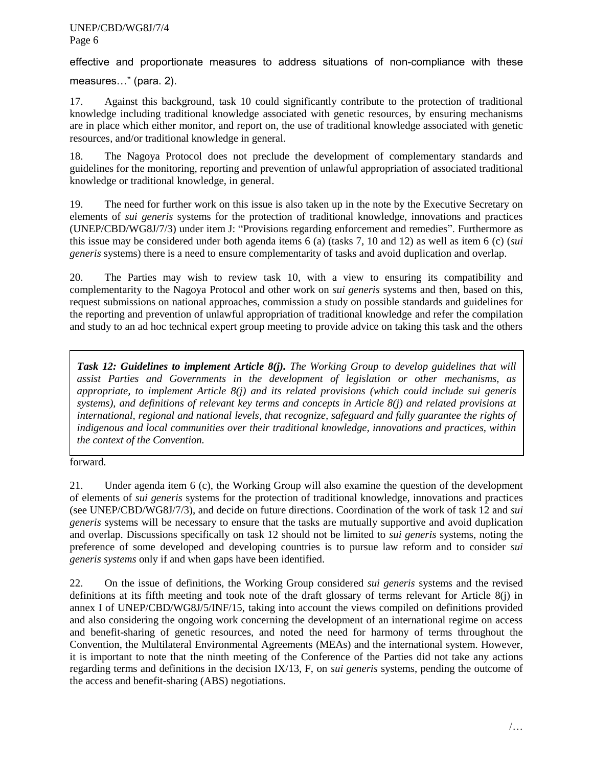effective and proportionate measures to address situations of non-compliance with these

measures…" (para. 2).

17. Against this background, task 10 could significantly contribute to the protection of traditional knowledge including traditional knowledge associated with genetic resources, by ensuring mechanisms are in place which either monitor, and report on, the use of traditional knowledge associated with genetic resources, and/or traditional knowledge in general.

18. The Nagoya Protocol does not preclude the development of complementary standards and guidelines for the monitoring, reporting and prevention of unlawful appropriation of associated traditional knowledge or traditional knowledge, in general.

19. The need for further work on this issue is also taken up in the note by the Executive Secretary on elements of *sui generis* systems for the protection of traditional knowledge, innovations and practices (UNEP/CBD/WG8J/7/3) under item J: "Provisions regarding enforcement and remedies". Furthermore as this issue may be considered under both agenda items 6 (a) (tasks 7, 10 and 12) as well as item 6 (c) (*sui generis* systems) there is a need to ensure complementarity of tasks and avoid duplication and overlap.

20. The Parties may wish to review task 10, with a view to ensuring its compatibility and complementarity to the Nagoya Protocol and other work on *sui generis* systems and then, based on this, request submissions on national approaches, commission a study on possible standards and guidelines for the reporting and prevention of unlawful appropriation of traditional knowledge and refer the compilation and study to an ad hoc technical expert group meeting to provide advice on taking this task and the others

**Task 12: Guidelines to implement Article 8(j).** The Working Group to develop guidelines that will *assist Parties and Governments in the development of legislation or other mechanisms, as appropriate, to implement Article 8(j) and its related provisions (which could include sui generis systems), and definitions of relevant key terms and concepts in Article 8(j) and related provisions at international, regional and national levels, that recognize, safeguard and fully guarantee the rights of indigenous and local communities over their traditional knowledge, innovations and practices, within the context of the Convention.* 

forward.

21. Under agenda item 6 (c), the Working Group will also examine the question of the development of elements of *sui generis* systems for the protection of traditional knowledge, innovations and practices (see UNEP/CBD/WG8J/7/3), and decide on future directions. Coordination of the work of task 12 and *sui generis* systems will be necessary to ensure that the tasks are mutually supportive and avoid duplication and overlap. Discussions specifically on task 12 should not be limited to *sui generis* systems, noting the preference of some developed and developing countries is to pursue law reform and to consider *sui generis systems* only if and when gaps have been identified.

22. On the issue of definitions, the Working Group considered *sui generis* systems and the revised definitions at its fifth meeting and took note of the draft glossary of terms relevant for Article 8(j) in annex I of UNEP/CBD/WG8J/5/INF/15, taking into account the views compiled on definitions provided and also considering the ongoing work concerning the development of an international regime on access and benefit-sharing of genetic resources, and noted the need for harmony of terms throughout the Convention, the Multilateral Environmental Agreements (MEAs) and the international system. However, it is important to note that the ninth meeting of the Conference of the Parties did not take any actions regarding terms and definitions in the decision IX/13, F, on *sui generis* systems, pending the outcome of the access and benefit-sharing (ABS) negotiations.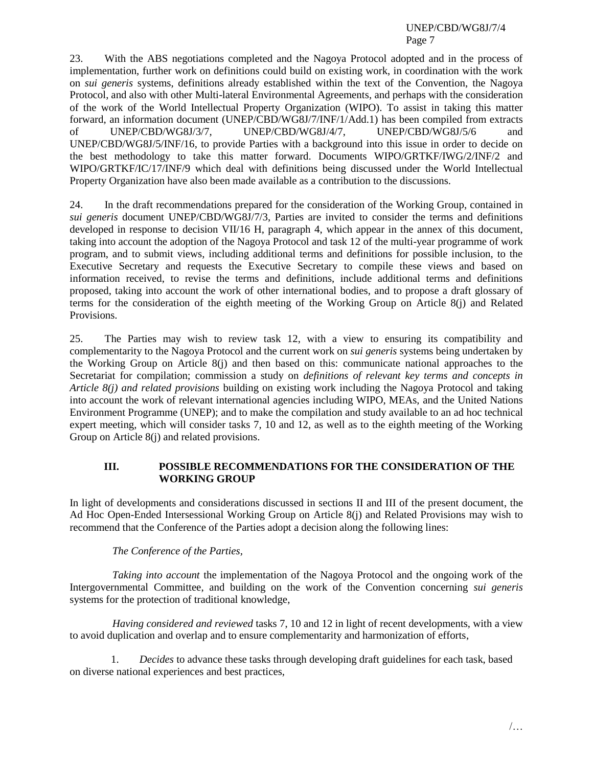23. With the ABS negotiations completed and the Nagoya Protocol adopted and in the process of implementation, further work on definitions could build on existing work, in coordination with the work on *sui generis* systems, definitions already established within the text of the Convention, the Nagoya Protocol, and also with other Multi-lateral Environmental Agreements, and perhaps with the consideration of the work of the World Intellectual Property Organization (WIPO). To assist in taking this matter forward, an information document (UNEP/CBD/WG8J/7/INF/1/Add.1) has been compiled from extracts of UNEP/CBD/WG8J/3/7, UNEP/CBD/WG8J/4/7, UNEP/CBD/WG8J/5/6 and UNEP/CBD/WG8J/5/INF/16, to provide Parties with a background into this issue in order to decide on the best methodology to take this matter forward. Documents WIPO/GRTKF/IWG/2/INF/2 and WIPO/GRTKF/IC/17/INF/9 which deal with definitions being discussed under the World Intellectual Property Organization have also been made available as a contribution to the discussions.

24. In the draft recommendations prepared for the consideration of the Working Group, contained in *sui generis* document UNEP/CBD/WG8J/7/3, Parties are invited to consider the terms and definitions developed in response to decision VII/16 H, paragraph 4, which appear in the annex of this document, taking into account the adoption of the Nagoya Protocol and task 12 of the multi-year programme of work program, and to submit views, including additional terms and definitions for possible inclusion, to the Executive Secretary and requests the Executive Secretary to compile these views and based on information received, to revise the terms and definitions, include additional terms and definitions proposed, taking into account the work of other international bodies, and to propose a draft glossary of terms for the consideration of the eighth meeting of the Working Group on Article 8(j) and Related Provisions.

25. The Parties may wish to review task 12, with a view to ensuring its compatibility and complementarity to the Nagoya Protocol and the current work on *sui generis* systems being undertaken by the Working Group on Article 8(j) and then based on this: communicate national approaches to the Secretariat for compilation; commission a study on *definitions of relevant key terms and concepts in Article 8(j) and related provisions* building on existing work including the Nagoya Protocol and taking into account the work of relevant international agencies including WIPO, MEAs, and the United Nations Environment Programme (UNEP); and to make the compilation and study available to an ad hoc technical expert meeting, which will consider tasks 7, 10 and 12, as well as to the eighth meeting of the Working Group on Article 8(j) and related provisions.

### **III. POSSIBLE RECOMMENDATIONS FOR THE CONSIDERATION OF THE WORKING GROUP**

In light of developments and considerations discussed in sections II and III of the present document, the Ad Hoc Open-Ended Intersessional Working Group on Article 8(j) and Related Provisions may wish to recommend that the Conference of the Parties adopt a decision along the following lines:

### *The Conference of the Parties,*

*Taking into account* the implementation of the Nagoya Protocol and the ongoing work of the Intergovernmental Committee, and building on the work of the Convention concerning *sui generis* systems for the protection of traditional knowledge,

*Having considered and reviewed* tasks 7, 10 and 12 in light of recent developments, with a view to avoid duplication and overlap and to ensure complementarity and harmonization of efforts,

1. *Decides* to advance these tasks through developing draft guidelines for each task, based on diverse national experiences and best practices,